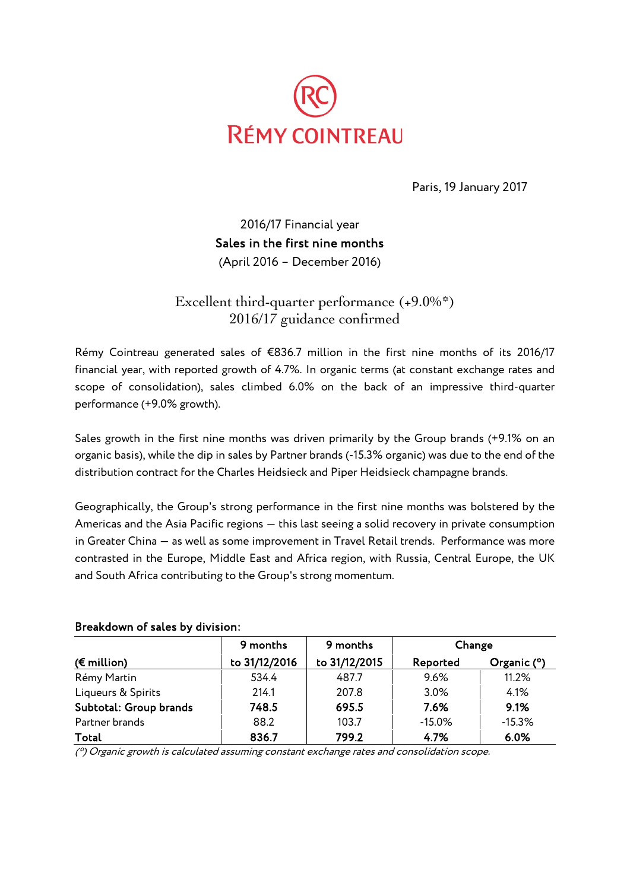

Paris, 19 January 2017

2016/17 Financial year Sales in the first nine months (April 2016 – December 2016)

Excellent third-quarter performance (+9.0%\*) 2016/17 guidance confirmed

Rémy Cointreau generated sales of €836.7 million in the first nine months of its 2016/17 financial year, with reported growth of 4.7%. In organic terms (at constant exchange rates and scope of consolidation), sales climbed 6.0% on the back of an impressive third-quarter performance (+9.0% growth).

Sales growth in the first nine months was driven primarily by the Group brands (+9.1% on an organic basis), while the dip in sales by Partner brands (-15.3% organic) was due to the end of the distribution contract for the Charles Heidsieck and Piper Heidsieck champagne brands.

Geographically, the Group's strong performance in the first nine months was bolstered by the Americas and the Asia Pacific regions — this last seeing a solid recovery in private consumption in Greater China — as well as some improvement in Travel Retail trends. Performance was more contrasted in the Europe, Middle East and Africa region, with Russia, Central Europe, the UK and South Africa contributing to the Group's strong momentum.

|                        | 9 months      | 9 months      | Change   |               |  |
|------------------------|---------------|---------------|----------|---------------|--|
| $(E$ million)          | to 31/12/2016 | to 31/12/2015 | Reported | Organic $(°)$ |  |
| Rémy Martin            | 534.4         | 487.7         | 9.6%     | 11.2%         |  |
| Liqueurs & Spirits     | 214.1         | 207.8         | 3.0%     | 4.1%          |  |
| Subtotal: Group brands | 748.5         | 695.5         | 7.6%     | 9.1%          |  |
| Partner brands         | 88.2          | 103.7         | $-15.0%$ | $-15.3%$      |  |
| Total                  | 836.7         | 799.2         | 4.7%     | 6.0%          |  |

#### Breakdown of sales by division:

(\*) Organic growth is calculated assuming constant exchange rates and consolidation scope.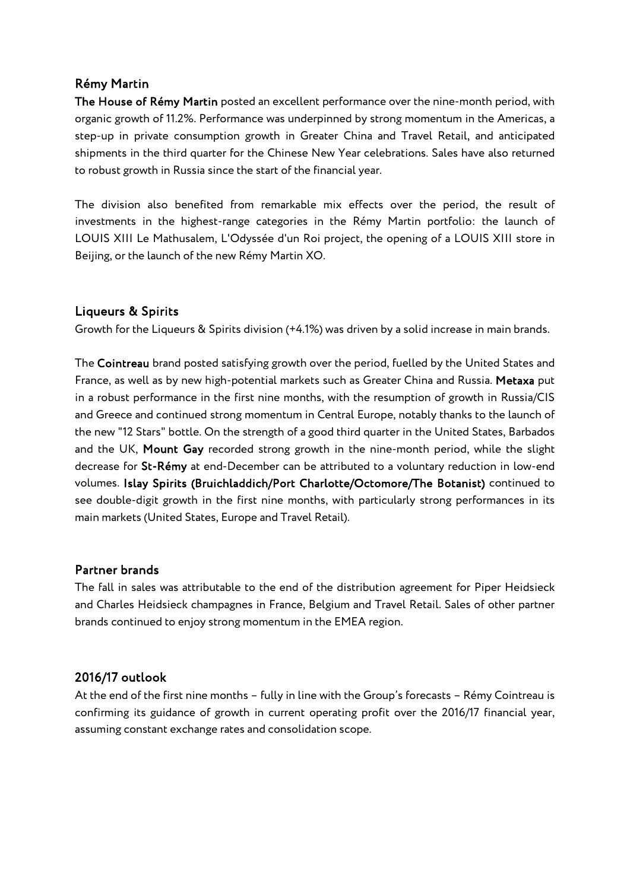### Rémy Martin

The House of Rémy Martin posted an excellent performance over the nine-month period, with organic growth of 11.2%. Performance was underpinned by strong momentum in the Americas, a step-up in private consumption growth in Greater China and Travel Retail, and anticipated shipments in the third quarter for the Chinese New Year celebrations. Sales have also returned to robust growth in Russia since the start of the financial year.

The division also benefited from remarkable mix effects over the period, the result of investments in the highest-range categories in the Rémy Martin portfolio: the launch of LOUIS XIII Le Mathusalem, L'Odyssée d'un Roi project, the opening of a LOUIS XIII store in Beijing, or the launch of the new Rémy Martin XO.

## Liqueurs & Spirits

Growth for the Liqueurs & Spirits division (+4.1%) was driven by a solid increase in main brands.

The Cointreau brand posted satisfying growth over the period, fuelled by the United States and France, as well as by new high-potential markets such as Greater China and Russia. Metaxa put in a robust performance in the first nine months, with the resumption of growth in Russia/CIS and Greece and continued strong momentum in Central Europe, notably thanks to the launch of the new "12 Stars" bottle. On the strength of a good third quarter in the United States, Barbados and the UK, Mount Gay recorded strong growth in the nine-month period, while the slight decrease for St-Rémy at end-December can be attributed to a voluntary reduction in low-end volumes. Islay Spirits (Bruichladdich/Port Charlotte/Octomore/The Botanist) continued to see double-digit growth in the first nine months, with particularly strong performances in its main markets (United States, Europe and Travel Retail).

## Partner brands

The fall in sales was attributable to the end of the distribution agreement for Piper Heidsieck and Charles Heidsieck champagnes in France, Belgium and Travel Retail. Sales of other partner brands continued to enjoy strong momentum in the EMEA region.

## 2016/17 outlook

At the end of the first nine months – fully in line with the Group's forecasts – Rémy Cointreau is confirming its guidance of growth in current operating profit over the 2016/17 financial year, assuming constant exchange rates and consolidation scope.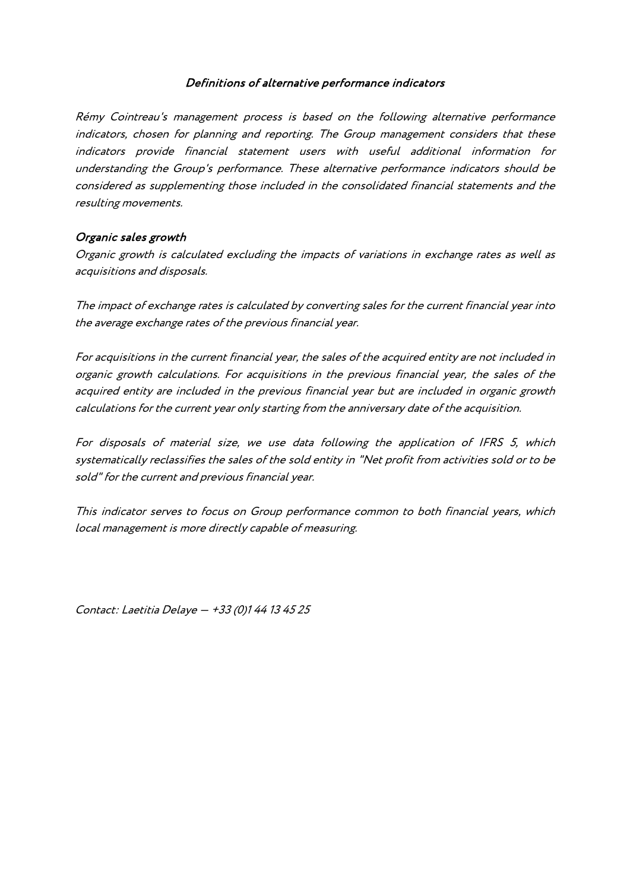#### Definitions of alternative performance indicators

Rémy Cointreau's management process is based on the following alternative performance indicators, chosen for planning and reporting. The Group management considers that these indicators provide financial statement users with useful additional information for understanding the Group's performance. These alternative performance indicators should be considered as supplementing those included in the consolidated financial statements and the resulting movements.

#### Organic sales growth

Organic growth is calculated excluding the impacts of variations in exchange rates as well as acquisitions and disposals.

The impact of exchange rates is calculated by converting sales for the current financial year into the average exchange rates of the previous financial year.

For acquisitions in the current financial year, the sales of the acquired entity are not included in organic growth calculations. For acquisitions in the previous financial year, the sales of the acquired entity are included in the previous financial year but are included in organic growth calculations for the current year only starting from the anniversary date of the acquisition.

For disposals of material size, we use data following the application of IFRS 5, which systematically reclassifies the sales of the sold entity in "Net profit from activities sold or to be sold" for the current and previous financial year.

This indicator serves to focus on Group performance common to both financial years, which local management is more directly capable of measuring.

Contact: Laetitia Delaye — +33 (0)1 44 13 45 25